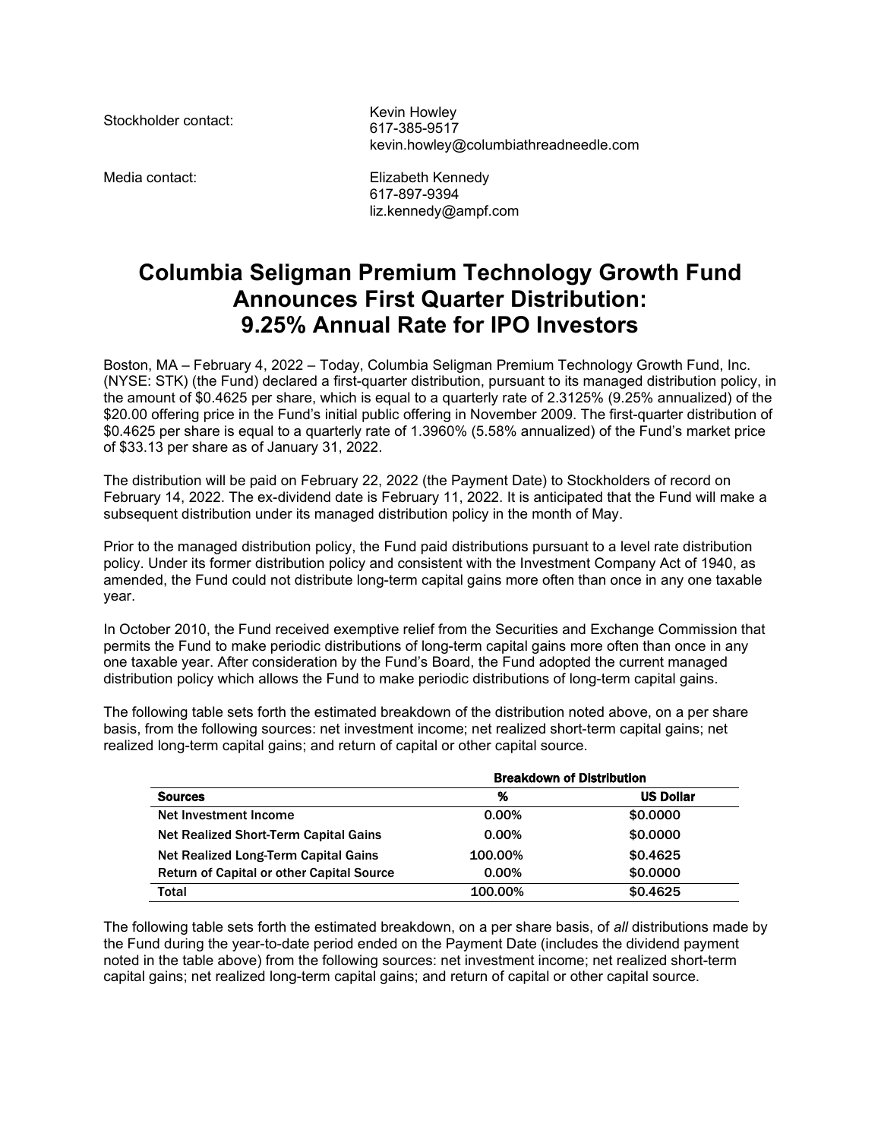Stockholder contact: Kevin Howley 617-385-9517 kevin.howley@columbiathreadneedle.com

Media contact: Elizabeth Kennedy 617-897-9394 liz.kennedy@ampf.com

## **Columbia Seligman Premium Technology Growth Fund Announces First Quarter Distribution: 9.25% Annual Rate for IPO Investors**

Boston, MA – February 4, 2022 – Today, Columbia Seligman Premium Technology Growth Fund, Inc. (NYSE: STK) (the Fund) declared a first-quarter distribution, pursuant to its managed distribution policy, in the amount of \$0.4625 per share, which is equal to a quarterly rate of 2.3125% (9.25% annualized) of the \$20.00 offering price in the Fund's initial public offering in November 2009. The first-quarter distribution of \$0.4625 per share is equal to a quarterly rate of 1.3960% (5.58% annualized) of the Fund's market price of \$33.13 per share as of January 31, 2022.

The distribution will be paid on February 22, 2022 (the Payment Date) to Stockholders of record on February 14, 2022. The ex-dividend date is February 11, 2022. It is anticipated that the Fund will make a subsequent distribution under its managed distribution policy in the month of May.

Prior to the managed distribution policy, the Fund paid distributions pursuant to a level rate distribution policy. Under its former distribution policy and consistent with the Investment Company Act of 1940, as amended, the Fund could not distribute long-term capital gains more often than once in any one taxable year.

In October 2010, the Fund received exemptive relief from the Securities and Exchange Commission that permits the Fund to make periodic distributions of long-term capital gains more often than once in any one taxable year. After consideration by the Fund's Board, the Fund adopted the current managed distribution policy which allows the Fund to make periodic distributions of long-term capital gains.

The following table sets forth the estimated breakdown of the distribution noted above, on a per share basis, from the following sources: net investment income; net realized short-term capital gains; net realized long-term capital gains; and return of capital or other capital source.

|                                                  | <b>Breakdown of Distribution</b> |                  |
|--------------------------------------------------|----------------------------------|------------------|
| <b>Sources</b>                                   | %                                | <b>US Dollar</b> |
| Net Investment Income                            | 0.00%                            | \$0.0000         |
| Net Realized Short-Term Capital Gains            | $0.00\%$                         | \$0,0000         |
| Net Realized Long-Term Capital Gains             | 100.00%                          | \$0.4625         |
| <b>Return of Capital or other Capital Source</b> | 0.00%                            | \$0.0000         |
| Total                                            | 100.00%                          | \$0.4625         |

The following table sets forth the estimated breakdown, on a per share basis, of *all* distributions made by the Fund during the year-to-date period ended on the Payment Date (includes the dividend payment noted in the table above) from the following sources: net investment income; net realized short-term capital gains; net realized long-term capital gains; and return of capital or other capital source.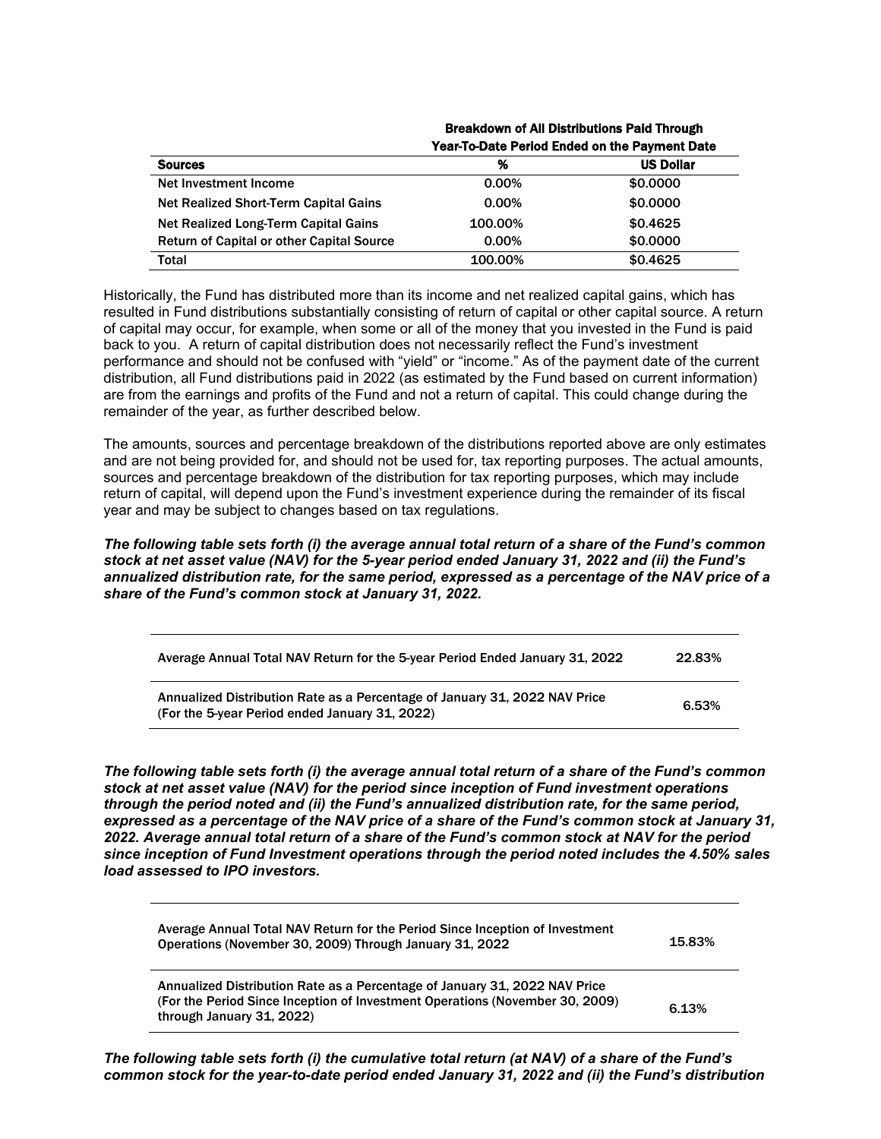|                                                  | <b>Breakdown of All Distributions Paid Through</b><br>Year-To-Date Period Ended on the Payment Date |                  |
|--------------------------------------------------|-----------------------------------------------------------------------------------------------------|------------------|
| <b>Sources</b>                                   | %                                                                                                   | <b>US Dollar</b> |
| Net Investment Income                            | $0.00\%$                                                                                            | \$0,0000         |
| Net Realized Short-Term Capital Gains            | $0.00\%$                                                                                            | \$0,0000         |
| Net Realized Long-Term Capital Gains             | 100.00%                                                                                             | \$0.4625         |
| <b>Return of Capital or other Capital Source</b> | 0.00%                                                                                               | \$0.0000         |
| Total                                            | 100.00%                                                                                             | \$0.4625         |

Historically, the Fund has distributed more than its income and net realized capital gains, which has resulted in Fund distributions substantially consisting of return of capital or other capital source. A return of capital may occur, for example, when some or all of the money that you invested in the Fund is paid back to you. A return of capital distribution does not necessarily reflect the Fund's investment performance and should not be confused with "yield" or "income." As of the payment date of the current distribution, all Fund distributions paid in 2022 (as estimated by the Fund based on current information) are from the earnings and profits of the Fund and not a return of capital. This could change during the remainder of the year, as further described below.

The amounts, sources and percentage breakdown of the distributions reported above are only estimates and are not being provided for, and should not be used for, tax reporting purposes. The actual amounts, sources and percentage breakdown of the distribution for tax reporting purposes, which may include return of capital, will depend upon the Fund's investment experience during the remainder of its fiscal year and may be subject to changes based on tax regulations.

*The following table sets forth (i) the average annual total return of a share of the Fund's common stock at net asset value (NAV) for the 5-year period ended January 31, 2022 and (ii) the Fund's annualized distribution rate, for the same period, expressed as a percentage of the NAV price of a share of the Fund's common stock at January 31, 2022.* 

| Average Annual Total NAV Return for the 5-year Period Ended January 31, 2022                                                 | 22.83% |
|------------------------------------------------------------------------------------------------------------------------------|--------|
| Annualized Distribution Rate as a Percentage of January 31, 2022 NAV Price<br>(For the 5-year Period ended January 31, 2022) |        |

*The following table sets forth (i) the average annual total return of a share of the Fund's common stock at net asset value (NAV) for the period since inception of Fund investment operations through the period noted and (ii) the Fund's annualized distribution rate, for the same period, expressed as a percentage of the NAV price of a share of the Fund's common stock at January 31, 2022. Average annual total return of a share of the Fund's common stock at NAV for the period since inception of Fund Investment operations through the period noted includes the 4.50% sales load assessed to IPO investors.*

| Average Annual Total NAV Return for the Period Since Inception of Investment<br>Operations (November 30, 2009) Through January 31, 2022                                                 | 15.83% |
|-----------------------------------------------------------------------------------------------------------------------------------------------------------------------------------------|--------|
| Annualized Distribution Rate as a Percentage of January 31, 2022 NAV Price<br>(For the Period Since Inception of Investment Operations (November 30, 2009)<br>through January 31, 2022) | 6.13%  |

*The following table sets forth (i) the cumulative total return (at NAV) of a share of the Fund's common stock for the year-to-date period ended January 31, 2022 and (ii) the Fund's distribution*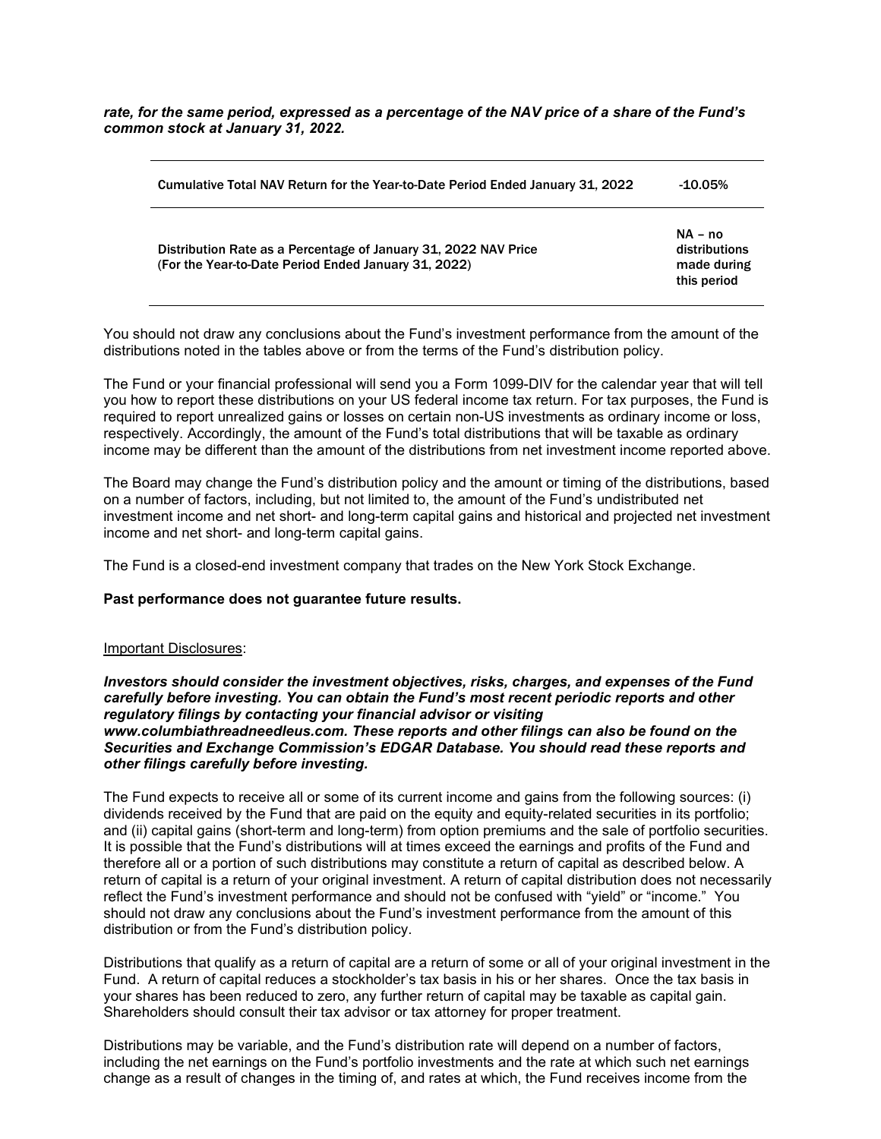*rate, for the same period, expressed as a percentage of the NAV price of a share of the Fund's common stock at January 31, 2022.*

| Cumulative Total NAV Return for the Year-to-Date Period Ended January 31, 2022                                          | $-10.05\%$                                               |
|-------------------------------------------------------------------------------------------------------------------------|----------------------------------------------------------|
| Distribution Rate as a Percentage of January 31, 2022 NAV Price<br>(For the Year-to-Date Period Ended January 31, 2022) | $NA - no$<br>distributions<br>made during<br>this period |

You should not draw any conclusions about the Fund's investment performance from the amount of the distributions noted in the tables above or from the terms of the Fund's distribution policy.

The Fund or your financial professional will send you a Form 1099-DIV for the calendar year that will tell you how to report these distributions on your US federal income tax return. For tax purposes, the Fund is required to report unrealized gains or losses on certain non-US investments as ordinary income or loss, respectively. Accordingly, the amount of the Fund's total distributions that will be taxable as ordinary income may be different than the amount of the distributions from net investment income reported above.

The Board may change the Fund's distribution policy and the amount or timing of the distributions, based on a number of factors, including, but not limited to, the amount of the Fund's undistributed net investment income and net short- and long-term capital gains and historical and projected net investment income and net short- and long-term capital gains.

The Fund is a closed-end investment company that trades on the New York Stock Exchange.

## **Past performance does not guarantee future results.**

## Important Disclosures:

*Investors should consider the investment objectives, risks, charges, and expenses of the Fund carefully before investing. You can obtain the Fund's most recent periodic reports and other regulatory filings by contacting your financial advisor or visiting www.columbiathreadneedleus.com. These reports and other filings can also be found on the Securities and Exchange Commission's EDGAR Database. You should read these reports and other filings carefully before investing.*

The Fund expects to receive all or some of its current income and gains from the following sources: (i) dividends received by the Fund that are paid on the equity and equity-related securities in its portfolio; and (ii) capital gains (short-term and long-term) from option premiums and the sale of portfolio securities. It is possible that the Fund's distributions will at times exceed the earnings and profits of the Fund and therefore all or a portion of such distributions may constitute a return of capital as described below. A return of capital is a return of your original investment. A return of capital distribution does not necessarily reflect the Fund's investment performance and should not be confused with "yield" or "income." You should not draw any conclusions about the Fund's investment performance from the amount of this distribution or from the Fund's distribution policy.

Distributions that qualify as a return of capital are a return of some or all of your original investment in the Fund. A return of capital reduces a stockholder's tax basis in his or her shares. Once the tax basis in your shares has been reduced to zero, any further return of capital may be taxable as capital gain. Shareholders should consult their tax advisor or tax attorney for proper treatment.

Distributions may be variable, and the Fund's distribution rate will depend on a number of factors, including the net earnings on the Fund's portfolio investments and the rate at which such net earnings change as a result of changes in the timing of, and rates at which, the Fund receives income from the